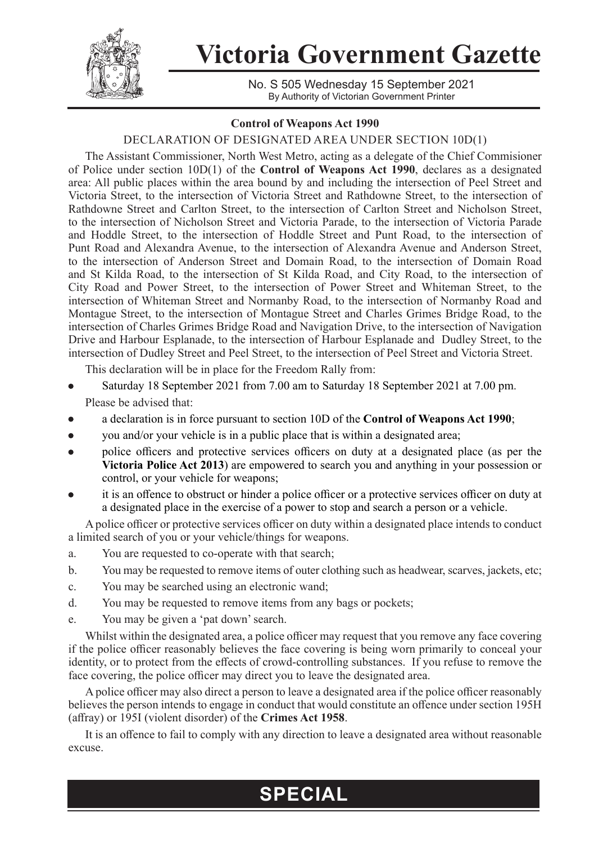

## **Victoria Government Gazette**

No. S 505 Wednesday 15 September 2021 By Authority of Victorian Government Printer

#### **Control of Weapons Act 1990**

DECLARATION OF DESIGNATED AREA UNDER SECTION 10D(1)

The Assistant Commissioner, North West Metro, acting as a delegate of the Chief Commisioner of Police under section 10D(1) of the **Control of Weapons Act 1990**, declares as a designated area: All public places within the area bound by and including the intersection of Peel Street and Victoria Street, to the intersection of Victoria Street and Rathdowne Street, to the intersection of Rathdowne Street and Carlton Street, to the intersection of Carlton Street and Nicholson Street, to the intersection of Nicholson Street and Victoria Parade, to the intersection of Victoria Parade and Hoddle Street, to the intersection of Hoddle Street and Punt Road, to the intersection of Punt Road and Alexandra Avenue, to the intersection of Alexandra Avenue and Anderson Street, to the intersection of Anderson Street and Domain Road, to the intersection of Domain Road and St Kilda Road, to the intersection of St Kilda Road, and City Road, to the intersection of City Road and Power Street, to the intersection of Power Street and Whiteman Street, to the intersection of Whiteman Street and Normanby Road, to the intersection of Normanby Road and Montague Street, to the intersection of Montague Street and Charles Grimes Bridge Road, to the intersection of Charles Grimes Bridge Road and Navigation Drive, to the intersection of Navigation Drive and Harbour Esplanade, to the intersection of Harbour Esplanade and Dudley Street, to the intersection of Dudley Street and Peel Street, to the intersection of Peel Street and Victoria Street.

This declaration will be in place for the Freedom Rally from:

- Saturday 18 September 2021 from 7.00 am to Saturday 18 September 2021 at 7.00 pm. Please be advised that:
- a declaration is in force pursuant to section 10D of the **Control of Weapons Act 1990**;
- you and/or your vehicle is in a public place that is within a designated area;
- police officers and protective services officers on duty at a designated place (as per the **Victoria Police Act 2013**) are empowered to search you and anything in your possession or control, or your vehicle for weapons;
- it is an offence to obstruct or hinder a police officer or a protective services officer on duty at a designated place in the exercise of a power to stop and search a person or a vehicle.

A police officer or protective services officer on duty within a designated place intends to conduct a limited search of you or your vehicle/things for weapons.

- a. You are requested to co-operate with that search;
- b. You may be requested to remove items of outer clothing such as headwear, scarves, jackets, etc;
- c. You may be searched using an electronic wand;
- d. You may be requested to remove items from any bags or pockets;
- e. You may be given a 'pat down' search.

Whilst within the designated area, a police officer may request that you remove any face covering if the police officer reasonably believes the face covering is being worn primarily to conceal your identity, or to protect from the effects of crowd-controlling substances. If you refuse to remove the face covering, the police officer may direct you to leave the designated area.

A police officer may also direct a person to leave a designated area if the police officer reasonably believes the person intends to engage in conduct that would constitute an offence under section 195H (affray) or 195I (violent disorder) of the **Crimes Act 1958**.

It is an offence to fail to comply with any direction to leave a designated area without reasonable excuse.

## **SPECIAL**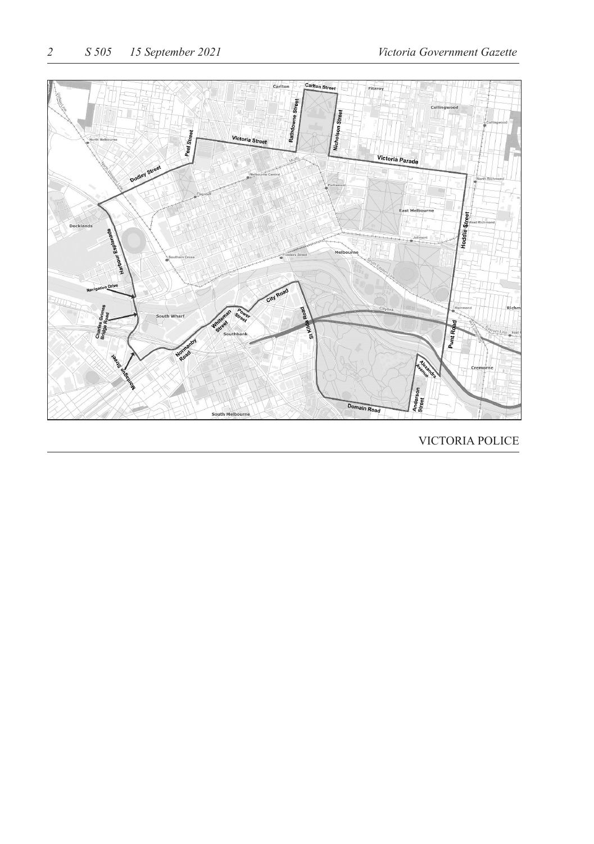

### VICTORIA POLICE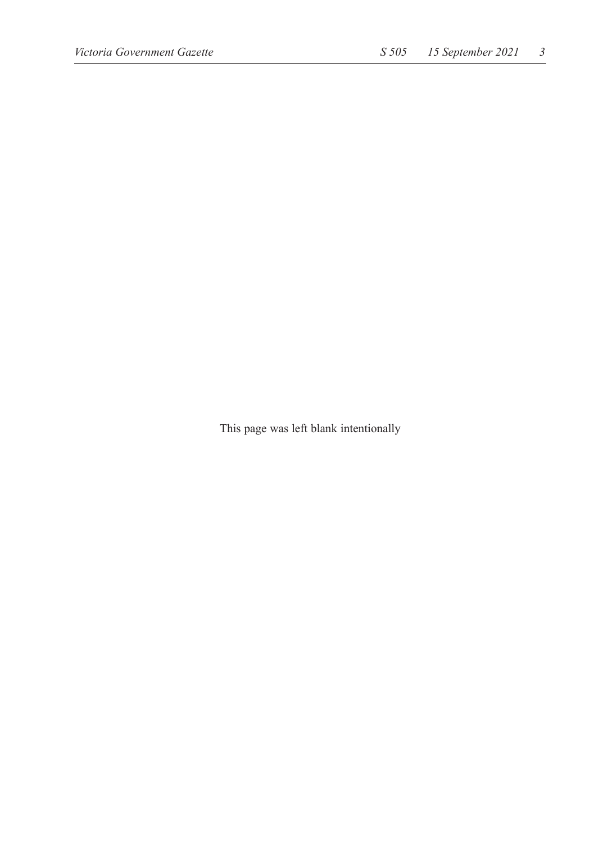This page was left blank intentionally